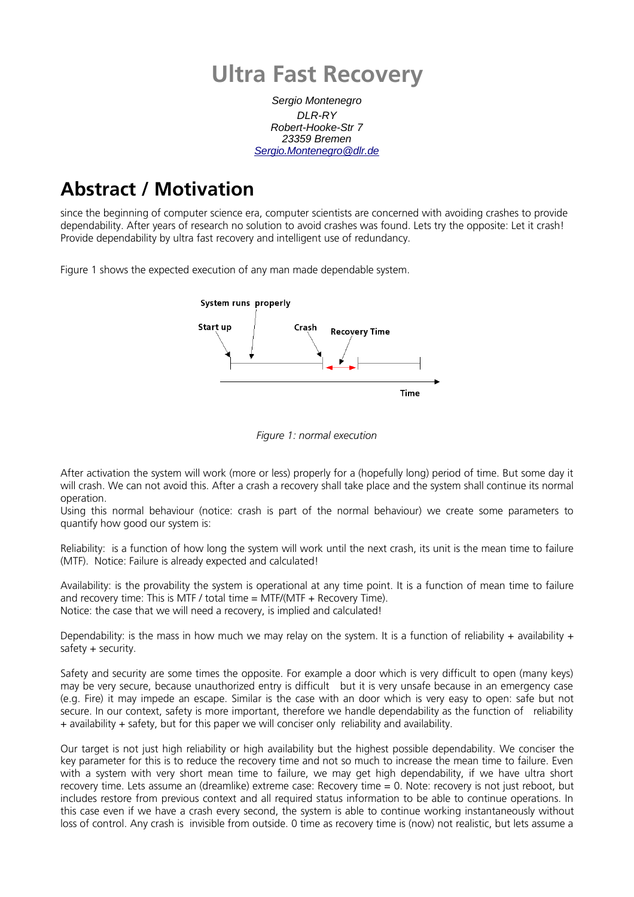# **Ultra Fast Recovery**

Sergio Montenegro  $DI$  R-RY Robert-Hooke-Str 7 23359 Bremen [Sergio.Montenegro@dlr.de](mailto:Sergio.Montenegro@dlr.de)

## **Abstract / Motivation**

since the beginning of computer science era, computer scientists are concerned with avoiding crashes to provide dependability. After years of research no solution to avoid crashes was found. Lets try the opposite: Let it crash! Provide dependability by ultra fast recovery and intelligent use of redundancy.

Figure 1 shows the expected execution of any man made dependable system.





After activation the system will work (more or less) properly for a (hopefully long) period of time. But some day it will crash. We can not avoid this. After a crash a recovery shall take place and the system shall continue its normal operation.

Using this normal behaviour (notice: crash is part of the normal behaviour) we create some parameters to quantify how good our system is:

Reliability: is a function of how long the system will work until the next crash, its unit is the mean time to failure (MTF). Notice: Failure is already expected and calculated!

Availability: is the provability the system is operational at any time point. It is a function of mean time to failure and recovery time: This is MTF / total time = MTF/(MTF + Recovery Time). Notice: the case that we will need a recovery, is implied and calculated!

Dependability: is the mass in how much we may relay on the system. It is a function of reliability + availability +  $s$ afety + security.

Safety and security are some times the opposite. For example a door which is very difficult to open (many keys) may be very secure, because unauthorized entry is difficult but it is very unsafe because in an emergency case (e.g. Fire) it may impede an escape. Similar is the case with an door which is very easy to open: safe but not secure. In our context, safety is more important, therefore we handle dependability as the function of reliability + availability + safety, but for this paper we will conciser only reliability and availability.

Our target is not just high reliability or high availability but the highest possible dependability. We conciser the key parameter for this is to reduce the recovery time and not so much to increase the mean time to failure. Even with a system with very short mean time to failure, we may get high dependability, if we have ultra short recovery time. Lets assume an (dreamlike) extreme case: Recovery time = 0. Note: recovery is not just reboot, but includes restore from previous context and all required status information to be able to continue operations. In this case even if we have a crash every second, the system is able to continue working instantaneously without loss of control. Any crash is invisible from outside. 0 time as recovery time is (now) not realistic, but lets assume a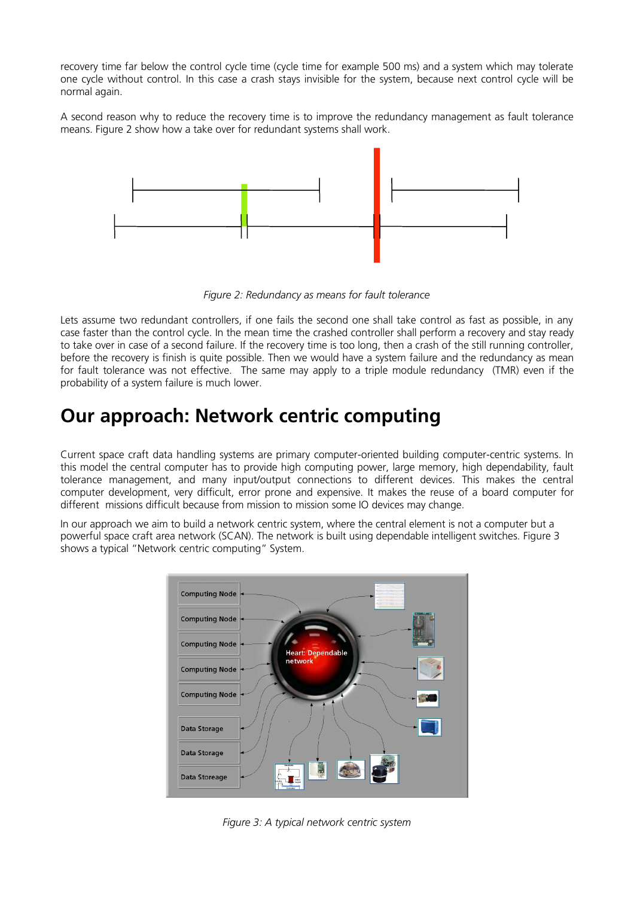recovery time far below the control cycle time (cycle time for example 500 ms) and a system which may tolerate one cycle without control. In this case a crash stays invisible for the system, because next control cycle will be normal again.

A second reason why to reduce the recovery time is to improve the redundancy management as fault tolerance means. Figure 2 show how a take over for redundant systems shall work.



*Figure 2: Redundancy as means for fault tolerance*

Lets assume two redundant controllers, if one fails the second one shall take control as fast as possible, in any case faster than the control cycle. In the mean time the crashed controller shall perform a recovery and stay ready to take over in case of a second failure. If the recovery time is too long, then a crash of the still running controller, before the recovery is finish is quite possible. Then we would have a system failure and the redundancy as mean for fault tolerance was not effective. The same may apply to a triple module redundancy (TMR) even if the probability of a system failure is much lower.

### **Our approach: Network centric computing**

Current space craft data handling systems are primary computer-oriented building computer-centric systems. In this model the central computer has to provide high computing power, large memory, high dependability, fault tolerance management, and many input/output connections to different devices. This makes the central computer development, very difficult, error prone and expensive. It makes the reuse of a board computer for different missions difficult because from mission to mission some IO devices may change.

In our approach we aim to build a network centric system, where the central element is not a computer but a powerful space craft area network (SCAN). The network is built using dependable intelligent switches. Figure 3 shows a typical "Network centric computing" System.



*Figure 3: A typical network centric system*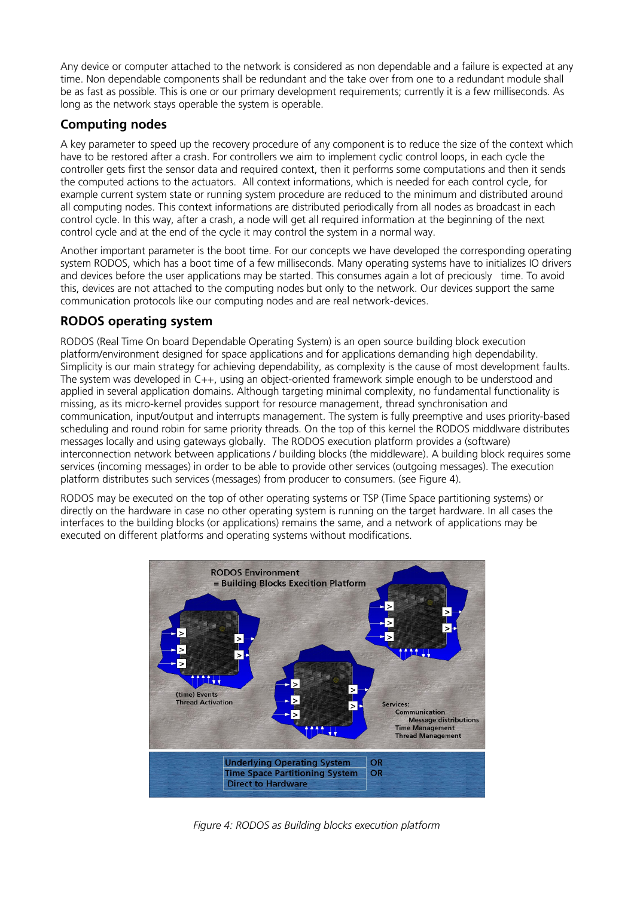Any device or computer attached to the network is considered as non dependable and a failure is expected at any time. Non dependable components shall be redundant and the take over from one to a redundant module shall be as fast as possible. This is one or our primary development requirements; currently it is a few milliseconds. As long as the network stays operable the system is operable.

### **Computing nodes**

A key parameter to speed up the recovery procedure of any component is to reduce the size of the context which have to be restored after a crash. For controllers we aim to implement cyclic control loops, in each cycle the controller gets first the sensor data and required context, then it performs some computations and then it sends the computed actions to the actuators. All context informations, which is needed for each control cycle, for example current system state or running system procedure are reduced to the minimum and distributed around all computing nodes. This context informations are distributed periodically from all nodes as broadcast in each control cycle. In this way, after a crash, a node will get all required information at the beginning of the next control cycle and at the end of the cycle it may control the system in a normal way.

Another important parameter is the boot time. For our concepts we have developed the corresponding operating system RODOS, which has a boot time of a few milliseconds. Many operating systems have to initializes IO drivers and devices before the user applications may be started. This consumes again a lot of preciously time. To avoid this, devices are not attached to the computing nodes but only to the network. Our devices support the same communication protocols like our computing nodes and are real network-devices.

#### **RODOS operating system**

RODOS (Real Time On board Dependable Operating System) is an open source building block execution platform/environment designed for space applications and for applications demanding high dependability. Simplicity is our main strategy for achieving dependability, as complexity is the cause of most development faults. The system was developed in C++, using an object-oriented framework simple enough to be understood and applied in several application domains. Although targeting minimal complexity, no fundamental functionality is missing, as its micro-kernel provides support for resource management, thread synchronisation and communication, input/output and interrupts management. The system is fully preemptive and uses priority-based scheduling and round robin for same priority threads. On the top of this kernel the RODOS middlware distributes messages locally and using gateways globally. The RODOS execution platform provides a (software) interconnection network between applications / building blocks (the middleware). A building block requires some services (incoming messages) in order to be able to provide other services (outgoing messages). The execution platform distributes such services (messages) from producer to consumers. (see Figure 4).

RODOS may be executed on the top of other operating systems or TSP (Time Space partitioning systems) or directly on the hardware in case no other operating system is running on the target hardware. In all cases the interfaces to the building blocks (or applications) remains the same, and a network of applications may be executed on different platforms and operating systems without modifications.



*Figure 4: RODOS as Building blocks execution platform*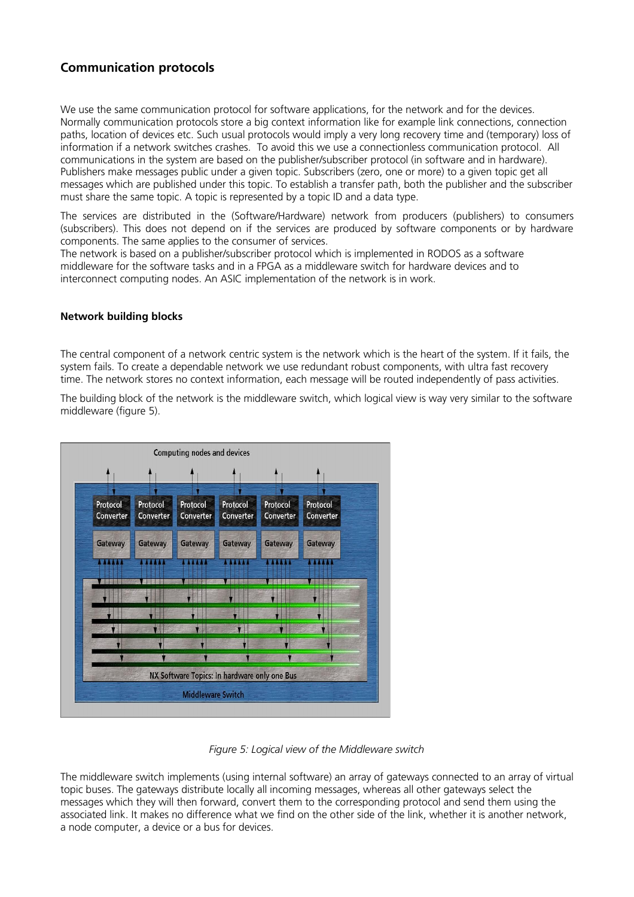### **Communication protocols**

We use the same communication protocol for software applications, for the network and for the devices. Normally communication protocols store a big context information like for example link connections, connection paths, location of devices etc. Such usual protocols would imply a very long recovery time and (temporary) loss of information if a network switches crashes. To avoid this we use a connectionless communication protocol. All communications in the system are based on the publisher/subscriber protocol (in software and in hardware). Publishers make messages public under a given topic. Subscribers (zero, one or more) to a given topic get all messages which are published under this topic. To establish a transfer path, both the publisher and the subscriber must share the same topic. A topic is represented by a topic ID and a data type.

The services are distributed in the (Software/Hardware) network from producers (publishers) to consumers (subscribers). This does not depend on if the services are produced by software components or by hardware components. The same applies to the consumer of services.

The network is based on a publisher/subscriber protocol which is implemented in RODOS as a software middleware for the software tasks and in a FPGA as a middleware switch for hardware devices and to interconnect computing nodes. An ASIC implementation of the network is in work.

#### **Network building blocks**

The central component of a network centric system is the network which is the heart of the system. If it fails, the system fails. To create a dependable network we use redundant robust components, with ultra fast recovery time. The network stores no context information, each message will be routed independently of pass activities.

The building block of the network is the middleware switch, which logical view is way very similar to the software middleware (figure 5).





The middleware switch implements (using internal software) an array of gateways connected to an array of virtual topic buses. The gateways distribute locally all incoming messages, whereas all other gateways select the messages which they will then forward, convert them to the corresponding protocol and send them using the associated link. It makes no difference what we find on the other side of the link, whether it is another network, a node computer, a device or a bus for devices.